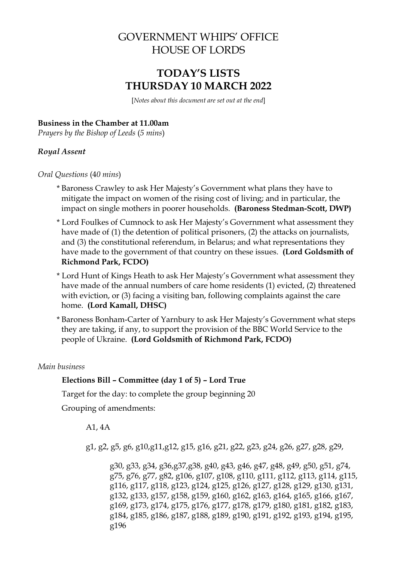# GOVERNMENT WHIPS' OFFICE HOUSE OF LORDS

# **TODAY'S LISTS THURSDAY 10 MARCH 2022**

[*Notes about this document are set out at the end*]

#### **Business in the Chamber at 11.00am**

*Prayers by the Bishop of Leeds* (*5 mins*)

### *Royal Assent*

*Oral Questions* (4*0 mins*)

- \* Baroness Crawley to ask Her Majesty's Government what plans they have to mitigate the impact on women of the rising cost of living; and in particular, the impact on single mothers in poorer households. **(Baroness Stedman-Scott, DWP)**
- \* Lord Foulkes of Cumnock to ask Her Majesty's Government what assessment they have made of (1) the detention of political prisoners, (2) the attacks on journalists, and (3) the constitutional referendum, in Belarus; and what representations they have made to the government of that country on these issues. **(Lord Goldsmith of Richmond Park, FCDO)**
- \* Lord Hunt of Kings Heath to ask Her Majesty's Government what assessment they have made of the annual numbers of care home residents (1) evicted, (2) threatened with eviction, or (3) facing a visiting ban, following complaints against the care home. **(Lord Kamall, DHSC)**
- \* Baroness Bonham-Carter of Yarnbury to ask Her Majesty's Government what steps they are taking, if any, to support the provision of the BBC World Service to the people of Ukraine. **(Lord Goldsmith of Richmond Park, FCDO)**

*Main business*

#### **Elections Bill – Committee (day 1 of 5) – Lord True**

Target for the day: to complete the group beginning 20

Grouping of amendments:

A1, 4A

g1, g2, g5, g6, g10,g11,g12, g15, g16, g21, g22, g23, g24, g26, g27, g28, g29,

g30, g33, g34, g36,g37,g38, g40, g43, g46, g47, g48, g49, g50, g51, g74, g75, g76, g77, g82, g106, g107, g108, g110, g111, g112, g113, g114, g115, g116, g117, g118, g123, g124, g125, g126, g127, g128, g129, g130, g131, g132, g133, g157, g158, g159, g160, g162, g163, g164, g165, g166, g167, g169, g173, g174, g175, g176, g177, g178, g179, g180, g181, g182, g183, g184, g185, g186, g187, g188, g189, g190, g191, g192, g193, g194, g195, g196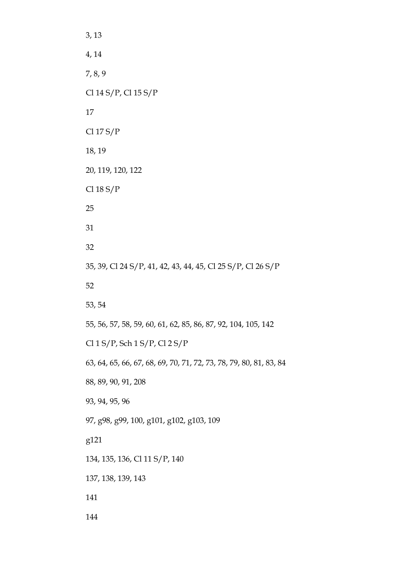3, 13 4, 14 7, 8, 9 Cl 14 S/P, Cl 15 S/P 17 Cl 17 S/P 18, 19 20, 119, 120, 122 Cl 18 S/P 25 31 32 35, 39, Cl 24 S/P, 41, 42, 43, 44, 45, Cl 25 S/P, Cl 26 S/P 52 53, 54 55, 56, 57, 58, 59, 60, 61, 62, 85, 86, 87, 92, 104, 105, 142 Cl 1 S/P, Sch 1 S/P, Cl 2 S/P 63, 64, 65, 66, 67, 68, 69, 70, 71, 72, 73, 78, 79, 80, 81, 83, 84 88, 89, 90, 91, 208 93, 94, 95, 96 97, g98, g99, 100, g101, g102, g103, 109 g121 134, 135, 136, Cl 11 S/P, 140 137, 138, 139, 143 141 144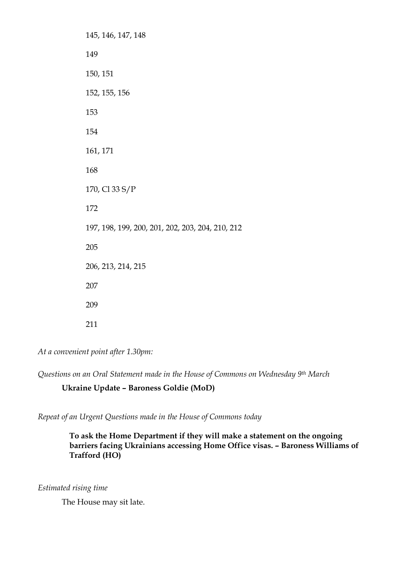145, 146, 147, 148 149 150, 151 152, 155, 156 153 154 161, 171 168 170, Cl 33 S/P 172 197, 198, 199, 200, 201, 202, 203, 204, 210, 212 205 206, 213, 214, 215 207 209 211

*At a convenient point after 1.30pm:*

*Questions on an Oral Statement made in the House of Commons on Wednesday 9th March*

### **Ukraine Update – Baroness Goldie (MoD)**

*Repeat of an Urgent Questions made in the House of Commons today*

**To ask the Home Department if they will make a statement on the ongoing barriers facing Ukrainians accessing Home Office visas. – Baroness Williams of Trafford (HO)**

*Estimated rising time* 

The House may sit late.